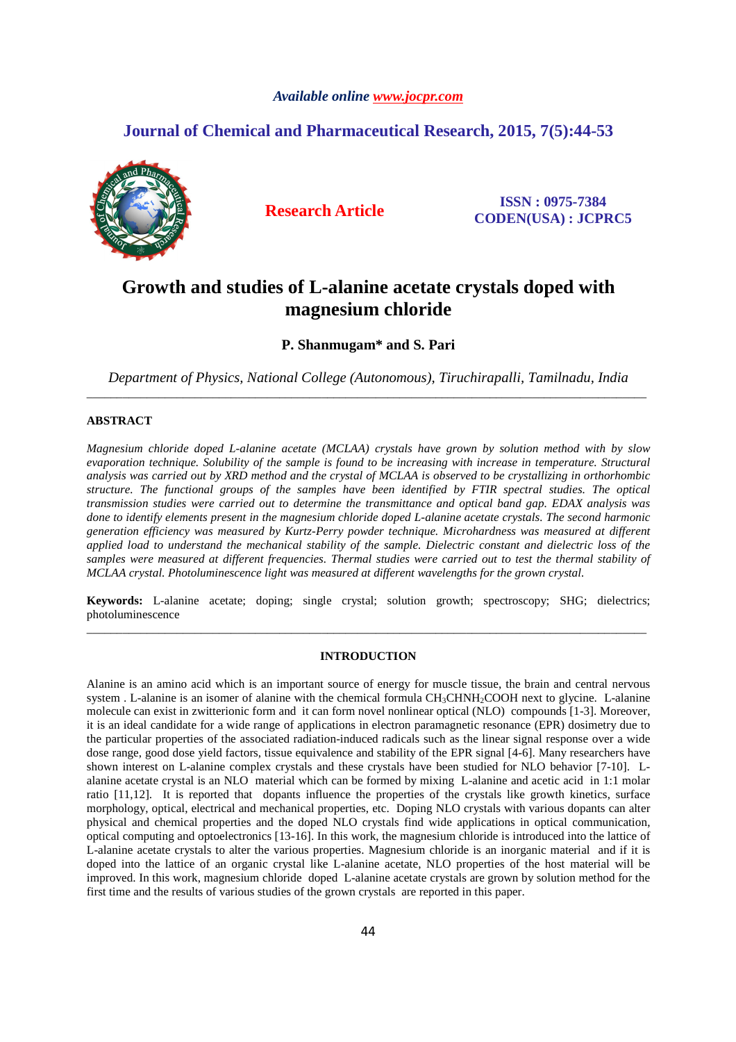# *Available online www.jocpr.com*

# **Journal of Chemical and Pharmaceutical Research, 2015, 7(5):44-53**



**Research Article ISSN : 0975-7384 CODEN(USA) : JCPRC5**

# **Growth and studies of L-alanine acetate crystals doped with magnesium chloride**

**P. Shanmugam\* and S. Pari**

*Department of Physics, National College (Autonomous), Tiruchirapalli, Tamilnadu, India*  \_\_\_\_\_\_\_\_\_\_\_\_\_\_\_\_\_\_\_\_\_\_\_\_\_\_\_\_\_\_\_\_\_\_\_\_\_\_\_\_\_\_\_\_\_\_\_\_\_\_\_\_\_\_\_\_\_\_\_\_\_\_\_\_\_\_\_\_\_\_\_\_\_\_\_\_\_\_\_\_\_\_\_\_\_\_\_\_\_\_\_\_\_

# **ABSTRACT**

*Magnesium chloride doped L-alanine acetate (MCLAA) crystals have grown by solution method with by slow evaporation technique. Solubility of the sample is found to be increasing with increase in temperature. Structural analysis was carried out by XRD method and the crystal of MCLAA is observed to be crystallizing in orthorhombic structure. The functional groups of the samples have been identified by FTIR spectral studies. The optical transmission studies were carried out to determine the transmittance and optical band gap. EDAX analysis was done to identify elements present in the magnesium chloride doped L-alanine acetate crystals. The second harmonic generation efficiency was measured by Kurtz-Perry powder technique. Microhardness was measured at different applied load to understand the mechanical stability of the sample. Dielectric constant and dielectric loss of the samples were measured at different frequencies. Thermal studies were carried out to test the thermal stability of MCLAA crystal. Photoluminescence light was measured at different wavelengths for the grown crystal.*

**Keywords:** L-alanine acetate; doping; single crystal; solution growth; spectroscopy; SHG; dielectrics; photoluminescence \_\_\_\_\_\_\_\_\_\_\_\_\_\_\_\_\_\_\_\_\_\_\_\_\_\_\_\_\_\_\_\_\_\_\_\_\_\_\_\_\_\_\_\_\_\_\_\_\_\_\_\_\_\_\_\_\_\_\_\_\_\_\_\_\_\_\_\_\_\_\_\_\_\_\_\_\_\_\_\_\_\_\_\_\_\_\_\_\_\_\_\_\_

# **INTRODUCTION**

Alanine is an amino acid which is an important source of energy for muscle tissue, the brain and central nervous system . L-alanine is an isomer of alanine with the chemical formula CH<sub>3</sub>CHNH<sub>2</sub>COOH next to glycine. L-alanine molecule can exist in zwitterionic form and it can form novel nonlinear optical (NLO) compounds [1-3]. Moreover, it is an ideal candidate for a wide range of applications in electron paramagnetic resonance (EPR) dosimetry due to the particular properties of the associated radiation-induced radicals such as the linear signal response over a wide dose range, good dose yield factors, tissue equivalence and stability of the EPR signal [4-6]. Many researchers have shown interest on L-alanine complex crystals and these crystals have been studied for NLO behavior [7-10]. Lalanine acetate crystal is an NLO material which can be formed by mixing L-alanine and acetic acid in 1:1 molar ratio [11,12]. It is reported that dopants influence the properties of the crystals like growth kinetics, surface morphology, optical, electrical and mechanical properties, etc. Doping NLO crystals with various dopants can alter physical and chemical properties and the doped NLO crystals find wide applications in optical communication, optical computing and optoelectronics [13-16]. In this work, the magnesium chloride is introduced into the lattice of L-alanine acetate crystals to alter the various properties. Magnesium chloride is an inorganic material and if it is doped into the lattice of an organic crystal like L-alanine acetate, NLO properties of the host material will be improved. In this work, magnesium chloride doped L-alanine acetate crystals are grown by solution method for the first time and the results of various studies of the grown crystals are reported in this paper.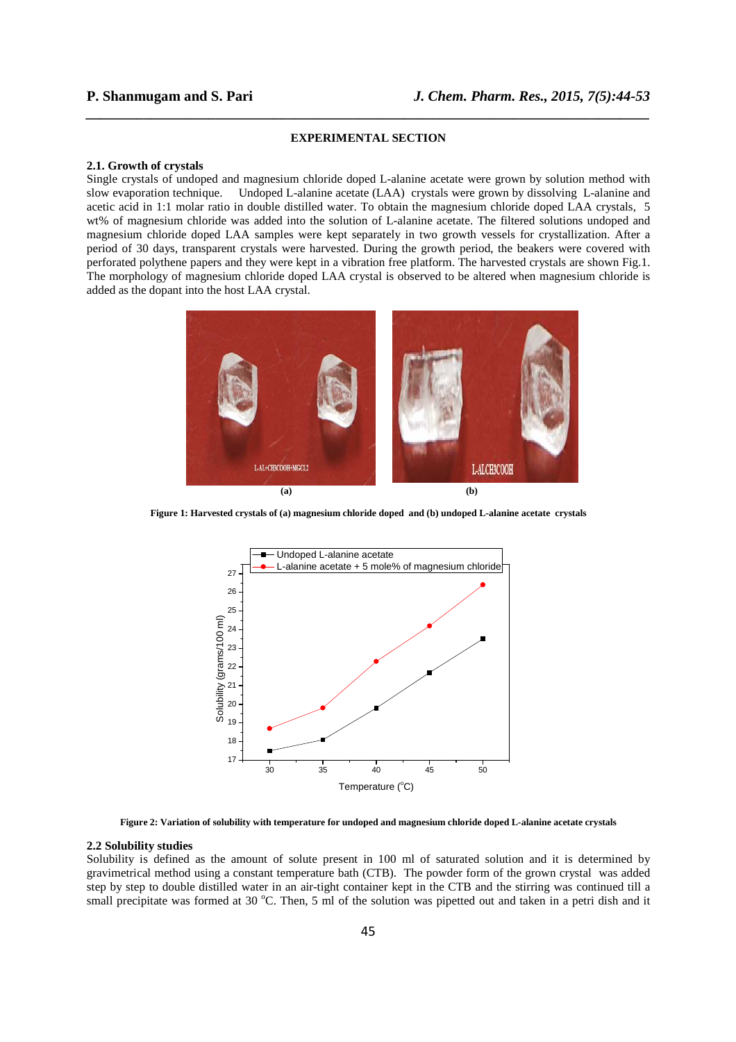# **EXPERIMENTAL SECTION**

*\_\_\_\_\_\_\_\_\_\_\_\_\_\_\_\_\_\_\_\_\_\_\_\_\_\_\_\_\_\_\_\_\_\_\_\_\_\_\_\_\_\_\_\_\_\_\_\_\_\_\_\_\_\_\_\_\_\_\_\_\_\_\_\_\_\_\_\_\_\_\_\_\_\_\_\_\_\_*

### **2.1. Growth of crystals**

Single crystals of undoped and magnesium chloride doped L-alanine acetate were grown by solution method with slow evaporation technique. Undoped L-alanine acetate (LAA) crystals were grown by dissolving L-alanine and acetic acid in 1:1 molar ratio in double distilled water. To obtain the magnesium chloride doped LAA crystals, 5 wt% of magnesium chloride was added into the solution of L-alanine acetate. The filtered solutions undoped and magnesium chloride doped LAA samples were kept separately in two growth vessels for crystallization. After a period of 30 days, transparent crystals were harvested. During the growth period, the beakers were covered with perforated polythene papers and they were kept in a vibration free platform. The harvested crystals are shown Fig.1. The morphology of magnesium chloride doped LAA crystal is observed to be altered when magnesium chloride is added as the dopant into the host LAA crystal.



**Figure 1: Harvested crystals of (a) magnesium chloride doped and (b) undoped L-alanine acetate crystals** 



**Figure 2: Variation of solubility with temperature for undoped and magnesium chloride doped L-alanine acetate crystals** 

### **2.2 Solubility studies**

Solubility is defined as the amount of solute present in 100 ml of saturated solution and it is determined by gravimetrical method using a constant temperature bath (CTB). The powder form of the grown crystal was added step by step to double distilled water in an air-tight container kept in the CTB and the stirring was continued till a small precipitate was formed at 30  $^{\circ}$ C. Then, 5 ml of the solution was pipetted out and taken in a petri dish and it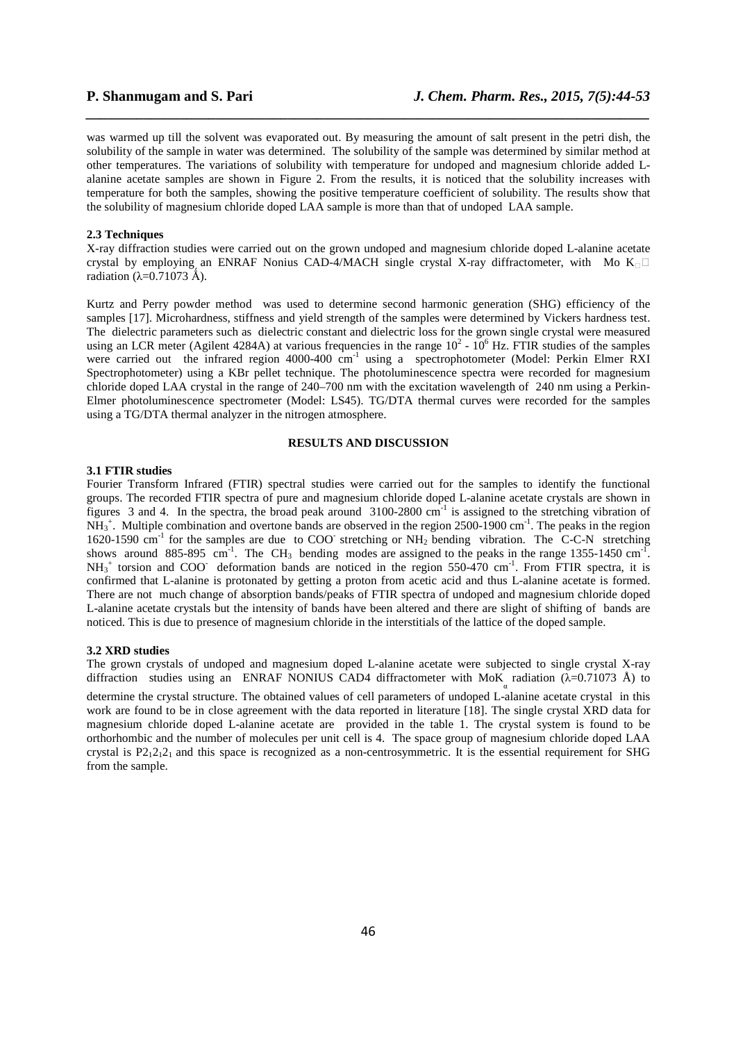was warmed up till the solvent was evaporated out. By measuring the amount of salt present in the petri dish, the solubility of the sample in water was determined. The solubility of the sample was determined by similar method at other temperatures. The variations of solubility with temperature for undoped and magnesium chloride added Lalanine acetate samples are shown in Figure 2. From the results, it is noticed that the solubility increases with temperature for both the samples, showing the positive temperature coefficient of solubility. The results show that the solubility of magnesium chloride doped LAA sample is more than that of undoped LAA sample.

*\_\_\_\_\_\_\_\_\_\_\_\_\_\_\_\_\_\_\_\_\_\_\_\_\_\_\_\_\_\_\_\_\_\_\_\_\_\_\_\_\_\_\_\_\_\_\_\_\_\_\_\_\_\_\_\_\_\_\_\_\_\_\_\_\_\_\_\_\_\_\_\_\_\_\_\_\_\_*

# **2.3 Techniques**

X-ray diffraction studies were carried out on the grown undoped and magnesium chloride doped L-alanine acetate crystal by employing an ENRAF Nonius CAD-4/MACH single crystal X-ray diffractometer, with Mo  $K_{\Box}$ radiation ( $λ=0.71073$  Å).

Kurtz and Perry powder method was used to determine second harmonic generation (SHG) efficiency of the samples [17]. Microhardness, stiffness and yield strength of the samples were determined by Vickers hardness test. The dielectric parameters such as dielectric constant and dielectric loss for the grown single crystal were measured using an LCR meter (Agilent 4284A) at various frequencies in the range  $10^2$  -  $10^6$  Hz. FTIR studies of the samples were carried out the infrared region 4000-400 cm<sup>-1</sup> using a spectrophotometer (Model: Perkin Elmer RXI Spectrophotometer) using a KBr pellet technique. The photoluminescence spectra were recorded for magnesium chloride doped LAA crystal in the range of 240–700 nm with the excitation wavelength of 240 nm using a Perkin-Elmer photoluminescence spectrometer (Model: LS45). TG/DTA thermal curves were recorded for the samples using a TG/DTA thermal analyzer in the nitrogen atmosphere.

# **RESULTS AND DISCUSSION**

# **3.1 FTIR studies**

Fourier Transform Infrared (FTIR) spectral studies were carried out for the samples to identify the functional groups. The recorded FTIR spectra of pure and magnesium chloride doped L-alanine acetate crystals are shown in figures 3 and 4. In the spectra, the broad peak around 3100-2800 cm-1 is assigned to the stretching vibration of  $NH_3^+$ . Multiple combination and overtone bands are observed in the region 2500-1900 cm<sup>-1</sup>. The peaks in the region 1620-1590 cm<sup>-1</sup> for the samples are due to COO stretching or NH<sub>2</sub> bending vibration. The C-C-N stretching shows around 885-895 cm<sup>-1</sup>. The CH<sub>3</sub> bending modes are assigned to the peaks in the range 1355-1450 cm<sup>-1</sup>.  $NH_3^+$  torsion and COO deformation bands are noticed in the region 550-470 cm<sup>-1</sup>. From FTIR spectra, it is confirmed that L-alanine is protonated by getting a proton from acetic acid and thus L-alanine acetate is formed. There are not much change of absorption bands/peaks of FTIR spectra of undoped and magnesium chloride doped L-alanine acetate crystals but the intensity of bands have been altered and there are slight of shifting of bands are noticed. This is due to presence of magnesium chloride in the interstitials of the lattice of the doped sample.

#### **3.2 XRD studies**

The grown crystals of undoped and magnesium doped L-alanine acetate were subjected to single crystal X-ray diffraction studies using an ENRAF NONIUS CAD4 diffractometer with MoK<sub>a</sub> radiation ( $\lambda$ =0.71073 Å) to

determine the crystal structure. The obtained values of cell parameters of undoped L-alanine acetate crystal in this work are found to be in close agreement with the data reported in literature [18]. The single crystal XRD data for magnesium chloride doped L-alanine acetate are provided in the table 1. The crystal system is found to be orthorhombic and the number of molecules per unit cell is 4. The space group of magnesium chloride doped LAA crystal is  $P2_12_12_1$  and this space is recognized as a non-centrosymmetric. It is the essential requirement for SHG from the sample.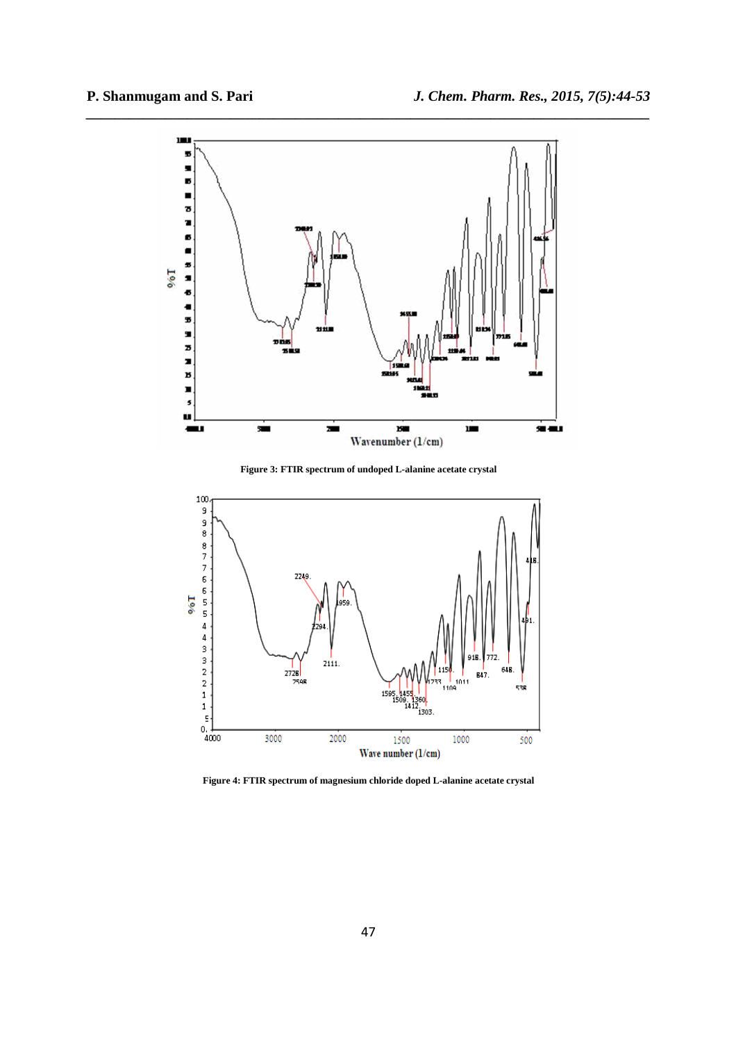

**Figure 3: FTIR spectrum of undoped L-alanine acetate crystal** 



**Figure 4: FTIR spectrum of magnesium chloride doped L-alanine acetate crystal**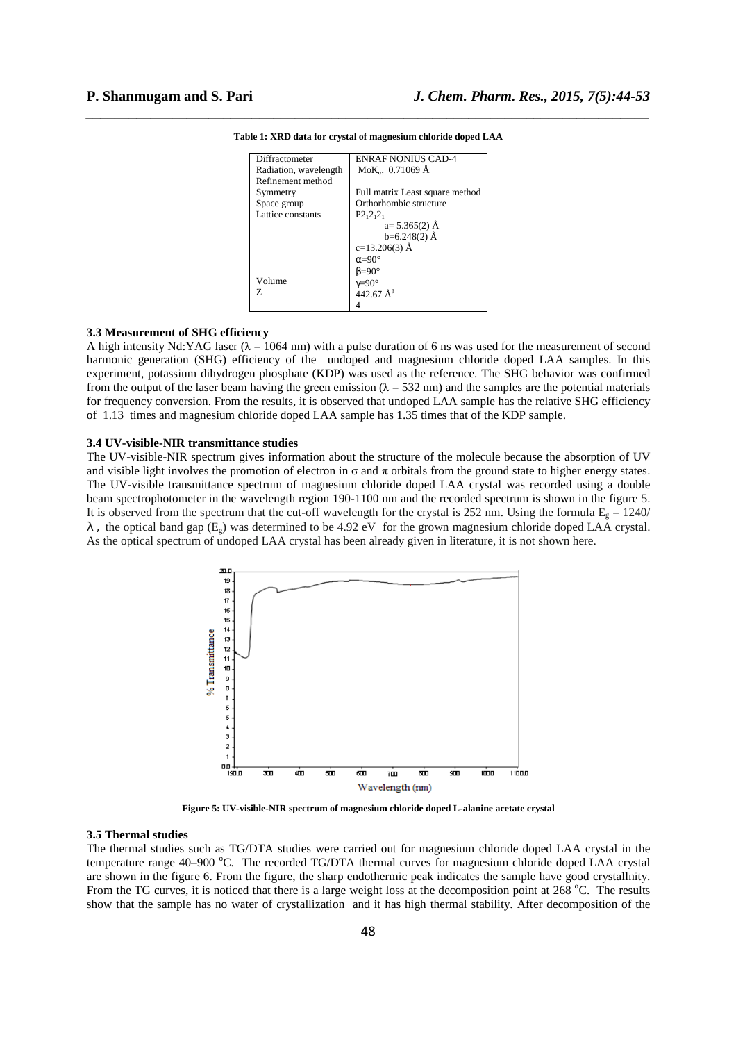| Diffractometer        | <b>ENRAF NONIUS CAD-4</b>       |
|-----------------------|---------------------------------|
| Radiation, wavelength | $MoK_{\alpha}$ , 0.71069 Å      |
| Refinement method     |                                 |
| Symmetry              | Full matrix Least square method |
| Space group           | Orthorhombic structure          |
| Lattice constants     | $P2_12_12_1$                    |
|                       | $a=5.365(2)$ Å                  |
|                       | $b=6.248(2)$ Å                  |
|                       | $c=13.206(3)$ Å                 |
|                       | $\alpha = 90^\circ$             |
|                       | $B=90^\circ$                    |
| Volume                | $\gamma = 90^\circ$             |
| 7.                    | $442.67 \text{ Å}^3$            |
|                       |                                 |

*\_\_\_\_\_\_\_\_\_\_\_\_\_\_\_\_\_\_\_\_\_\_\_\_\_\_\_\_\_\_\_\_\_\_\_\_\_\_\_\_\_\_\_\_\_\_\_\_\_\_\_\_\_\_\_\_\_\_\_\_\_\_\_\_\_\_\_\_\_\_\_\_\_\_\_\_\_\_* **Table 1: XRD data for crystal of magnesium chloride doped LAA** 

### **3.3 Measurement of SHG efficiency**

A high intensity Nd:YAG laser ( $\lambda = 1064$  nm) with a pulse duration of 6 ns was used for the measurement of second harmonic generation (SHG) efficiency of the undoped and magnesium chloride doped LAA samples. In this experiment, potassium dihydrogen phosphate (KDP) was used as the reference. The SHG behavior was confirmed from the output of the laser beam having the green emission ( $\lambda = 532$  nm) and the samples are the potential materials for frequency conversion. From the results, it is observed that undoped LAA sample has the relative SHG efficiency of 1.13 times and magnesium chloride doped LAA sample has 1.35 times that of the KDP sample.

# **3.4 UV-visible-NIR transmittance studies**

The UV-visible-NIR spectrum gives information about the structure of the molecule because the absorption of UV and visible light involves the promotion of electron in  $\sigma$  and  $\pi$  orbitals from the ground state to higher energy states. The UV-visible transmittance spectrum of magnesium chloride doped LAA crystal was recorded using a double beam spectrophotometer in the wavelength region 190-1100 nm and the recorded spectrum is shown in the figure 5. It is observed from the spectrum that the cut-off wavelength for the crystal is 252 nm. Using the formula  $E<sub>g</sub> = 1240/$  $\lambda$ , the optical band gap (E<sub>9</sub>) was determined to be 4.92 eV for the grown magnesium chloride doped LAA crystal. As the optical spectrum of undoped LAA crystal has been already given in literature, it is not shown here.



**Figure 5: UV-visible-NIR spectrum of magnesium chloride doped L-alanine acetate crystal** 

# **3.5 Thermal studies**

The thermal studies such as TG/DTA studies were carried out for magnesium chloride doped LAA crystal in the temperature range 40–900 °C. The recorded TG/DTA thermal curves for magnesium chloride doped LAA crystal are shown in the figure 6. From the figure, the sharp endothermic peak indicates the sample have good crystallnity. From the TG curves, it is noticed that there is a large weight loss at the decomposition point at 268 °C. The results show that the sample has no water of crystallization and it has high thermal stability. After decomposition of the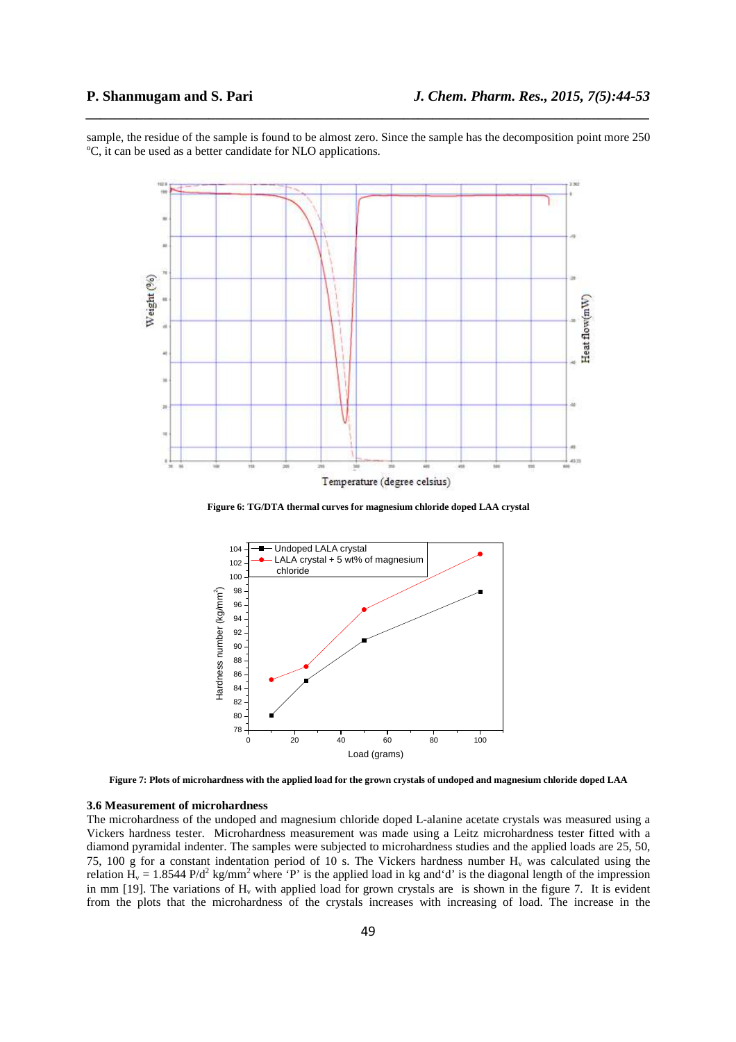sample, the residue of the sample is found to be almost zero. Since the sample has the decomposition point more 250 <sup>o</sup>C, it can be used as a better candidate for NLO applications.

*\_\_\_\_\_\_\_\_\_\_\_\_\_\_\_\_\_\_\_\_\_\_\_\_\_\_\_\_\_\_\_\_\_\_\_\_\_\_\_\_\_\_\_\_\_\_\_\_\_\_\_\_\_\_\_\_\_\_\_\_\_\_\_\_\_\_\_\_\_\_\_\_\_\_\_\_\_\_*



**Figure 6: TG/DTA thermal curves for magnesium chloride doped LAA crystal** 



**Figure 7: Plots of microhardness with the applied load for the grown crystals of undoped and magnesium chloride doped LAA** 

# **3.6 Measurement of microhardness**

The microhardness of the undoped and magnesium chloride doped L-alanine acetate crystals was measured using a Vickers hardness tester. Microhardness measurement was made using a Leitz microhardness tester fitted with a diamond pyramidal indenter. The samples were subjected to microhardness studies and the applied loads are 25, 50, 75, 100 g for a constant indentation period of 10 s. The Vickers hardness number  $H<sub>v</sub>$  was calculated using the relation  $H_v = 1.8544 \text{ P/d}^2 \text{ kg/mm}^2$  where 'P' is the applied load in kg and'd' is the diagonal length of the impression in mm [19]. The variations of  $H<sub>v</sub>$  with applied load for grown crystals are is shown in the figure 7. It is evident from the plots that the microhardness of the crystals increases with increasing of load. The increase in the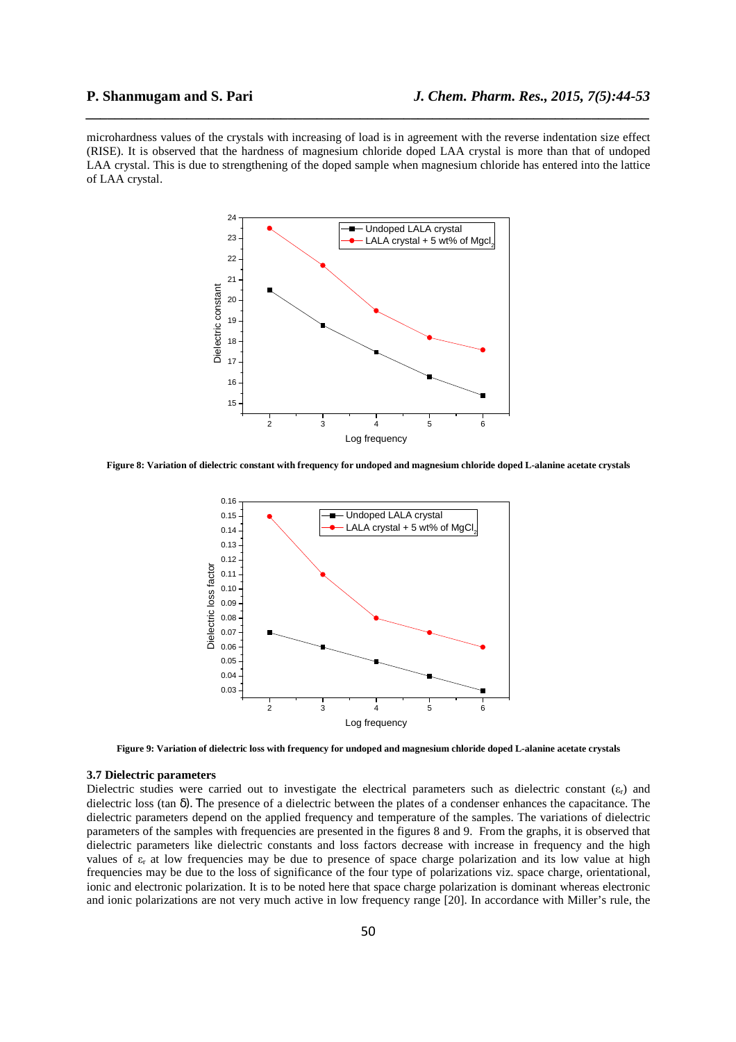microhardness values of the crystals with increasing of load is in agreement with the reverse indentation size effect (RISE). It is observed that the hardness of magnesium chloride doped LAA crystal is more than that of undoped LAA crystal. This is due to strengthening of the doped sample when magnesium chloride has entered into the lattice of LAA crystal.

*\_\_\_\_\_\_\_\_\_\_\_\_\_\_\_\_\_\_\_\_\_\_\_\_\_\_\_\_\_\_\_\_\_\_\_\_\_\_\_\_\_\_\_\_\_\_\_\_\_\_\_\_\_\_\_\_\_\_\_\_\_\_\_\_\_\_\_\_\_\_\_\_\_\_\_\_\_\_*



**Figure 8: Variation of dielectric constant with frequency for undoped and magnesium chloride doped L-alanine acetate crystals** 



**Figure 9: Variation of dielectric loss with frequency for undoped and magnesium chloride doped L-alanine acetate crystals** 

# **3.7 Dielectric parameters**

Dielectric studies were carried out to investigate the electrical parameters such as dielectric constant  $(\varepsilon_r)$  and dielectric loss (tan  $\delta$ ). The presence of a dielectric between the plates of a condenser enhances the capacitance. The dielectric parameters depend on the applied frequency and temperature of the samples. The variations of dielectric parameters of the samples with frequencies are presented in the figures 8 and 9. From the graphs, it is observed that dielectric parameters like dielectric constants and loss factors decrease with increase in frequency and the high values of  $\varepsilon_r$  at low frequencies may be due to presence of space charge polarization and its low value at high frequencies may be due to the loss of significance of the four type of polarizations viz. space charge, orientational, ionic and electronic polarization. It is to be noted here that space charge polarization is dominant whereas electronic and ionic polarizations are not very much active in low frequency range [20]. In accordance with Miller's rule, the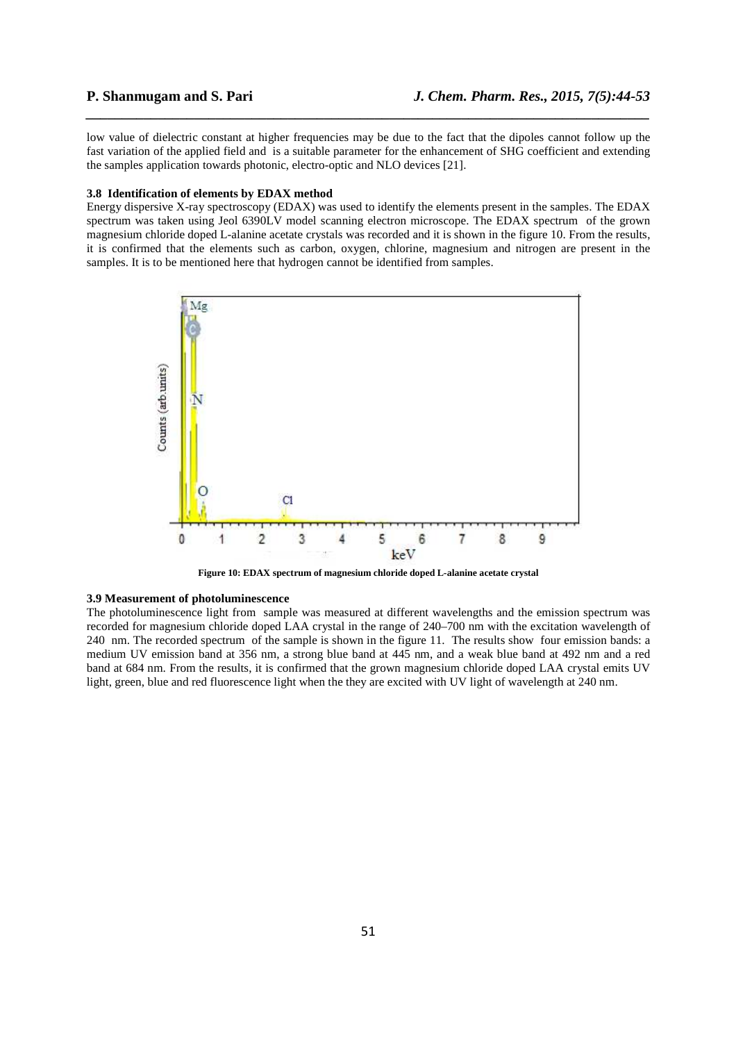low value of dielectric constant at higher frequencies may be due to the fact that the dipoles cannot follow up the fast variation of the applied field and is a suitable parameter for the enhancement of SHG coefficient and extending the samples application towards photonic, electro-optic and NLO devices [21].

*\_\_\_\_\_\_\_\_\_\_\_\_\_\_\_\_\_\_\_\_\_\_\_\_\_\_\_\_\_\_\_\_\_\_\_\_\_\_\_\_\_\_\_\_\_\_\_\_\_\_\_\_\_\_\_\_\_\_\_\_\_\_\_\_\_\_\_\_\_\_\_\_\_\_\_\_\_\_*

### **3.8 Identification of elements by EDAX method**

Energy dispersive X-ray spectroscopy (EDAX) was used to identify the elements present in the samples. The EDAX spectrum was taken using Jeol 6390LV model scanning electron microscope. The EDAX spectrum of the grown magnesium chloride doped L-alanine acetate crystals was recorded and it is shown in the figure 10. From the results, it is confirmed that the elements such as carbon, oxygen, chlorine, magnesium and nitrogen are present in the samples. It is to be mentioned here that hydrogen cannot be identified from samples.



**Figure 10: EDAX spectrum of magnesium chloride doped L-alanine acetate crystal** 

#### **3.9 Measurement of photoluminescence**

The photoluminescence light from sample was measured at different wavelengths and the emission spectrum was recorded for magnesium chloride doped LAA crystal in the range of 240–700 nm with the excitation wavelength of 240 nm. The recorded spectrum of the sample is shown in the figure 11. The results show four emission bands: a medium UV emission band at 356 nm, a strong blue band at 445 nm, and a weak blue band at 492 nm and a red band at 684 nm. From the results, it is confirmed that the grown magnesium chloride doped LAA crystal emits UV light, green, blue and red fluorescence light when the they are excited with UV light of wavelength at 240 nm.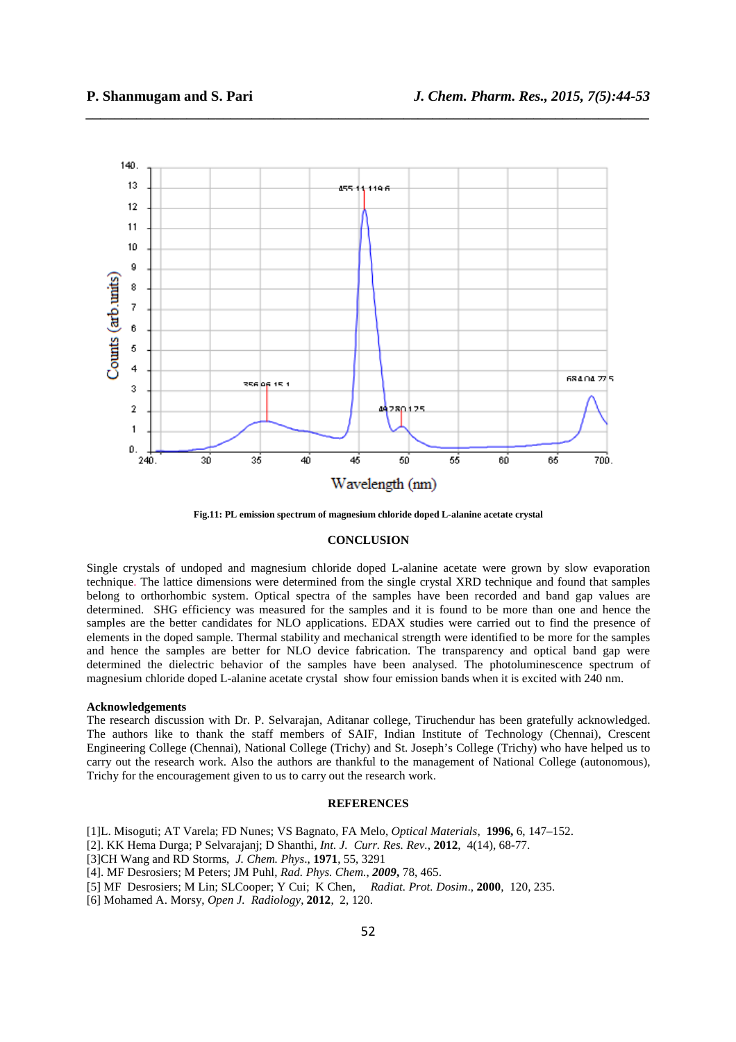

*\_\_\_\_\_\_\_\_\_\_\_\_\_\_\_\_\_\_\_\_\_\_\_\_\_\_\_\_\_\_\_\_\_\_\_\_\_\_\_\_\_\_\_\_\_\_\_\_\_\_\_\_\_\_\_\_\_\_\_\_\_\_\_\_\_\_\_\_\_\_\_\_\_\_\_\_\_\_*

**Fig.11: PL emission spectrum of magnesium chloride doped L-alanine acetate crystal** 

#### **CONCLUSION**

Single crystals of undoped and magnesium chloride doped L-alanine acetate were grown by slow evaporation technique. The lattice dimensions were determined from the single crystal XRD technique and found that samples belong to orthorhombic system. Optical spectra of the samples have been recorded and band gap values are determined. SHG efficiency was measured for the samples and it is found to be more than one and hence the samples are the better candidates for NLO applications. EDAX studies were carried out to find the presence of elements in the doped sample. Thermal stability and mechanical strength were identified to be more for the samples and hence the samples are better for NLO device fabrication. The transparency and optical band gap were determined the dielectric behavior of the samples have been analysed. The photoluminescence spectrum of magnesium chloride doped L-alanine acetate crystal show four emission bands when it is excited with 240 nm.

#### **Acknowledgements**

The research discussion with Dr. P. Selvarajan, Aditanar college, Tiruchendur has been gratefully acknowledged. The authors like to thank the staff members of SAIF, Indian Institute of Technology (Chennai), Crescent Engineering College (Chennai), National College (Trichy) and St. Joseph's College (Trichy) who have helped us to carry out the research work. Also the authors are thankful to the management of National College (autonomous), Trichy for the encouragement given to us to carry out the research work.

# **REFERENCES**

- [1]L. Misoguti; AT Varela; FD Nunes; VS Bagnato, FA Melo, *Optical Materials*, **1996,** 6, 147–152.
- [2]. KK Hema Durga; P Selvarajanj; D Shanthi, *Int. J. Curr. Res. Rev.*, **2012**, 4(14), 68-77.
- [3]CH Wang and RD Storms, *J. Chem. Phys*., **1971**, 55, 3291
- [4]. MF Desrosiers; M Peters; JM Puhl, *Rad. Phys. Chem.*, *2009***,** 78, 465.
- [5] MF Desrosiers; M Lin; SLCooper; Y Cui; K Chen, *Radiat. Prot. Dosim*., **2000**, 120, 235.
- [6] Mohamed A. Morsy, *Open J. Radiology*, **2012**, 2, 120.